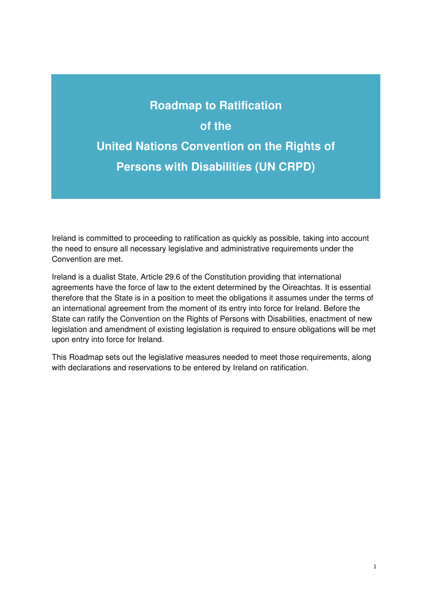# **Roadmap to Ratification of the United Nations Convention on the Rights of Persons with Disabilities (UN CRPD)**

Ireland is committed to proceeding to ratification as quickly as possible, taking into account the need to ensure all necessary legislative and administrative requirements under the Convention are met.

Ireland is a dualist State, Article 29.6 of the Constitution providing that international agreements have the force of law to the extent determined by the Oireachtas. It is essential therefore that the State is in a position to meet the obligations it assumes under the terms of an international agreement from the moment of its entry into force for Ireland. Before the State can ratify the Convention on the Rights of Persons with Disabilities, enactment of new legislation and amendment of existing legislation is required to ensure obligations will be met upon entry into force for Ireland.

This Roadmap sets out the legislative measures needed to meet those requirements, along with declarations and reservations to be entered by Ireland on ratification.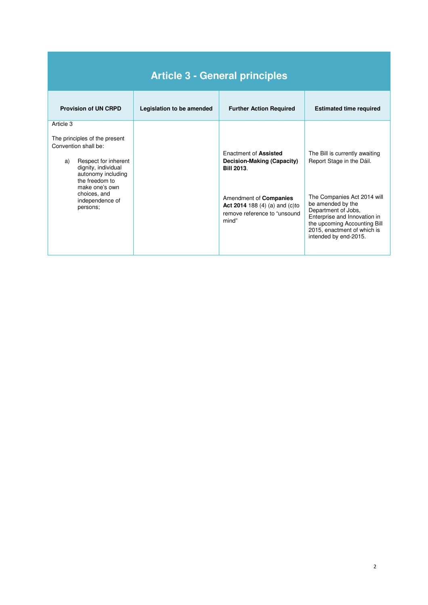| <b>Article 3 - General principles</b>                                                                                                                                                                                            |                           |                                                                                                                                                                                                     |                                                                                                                                                                                                                                                                |  |
|----------------------------------------------------------------------------------------------------------------------------------------------------------------------------------------------------------------------------------|---------------------------|-----------------------------------------------------------------------------------------------------------------------------------------------------------------------------------------------------|----------------------------------------------------------------------------------------------------------------------------------------------------------------------------------------------------------------------------------------------------------------|--|
| <b>Provision of UN CRPD</b>                                                                                                                                                                                                      | Legislation to be amended | <b>Further Action Required</b>                                                                                                                                                                      | <b>Estimated time required</b>                                                                                                                                                                                                                                 |  |
| Article 3<br>The principles of the present<br>Convention shall be:<br>Respect for inherent<br>a)<br>dignity, individual<br>autonomy including<br>the freedom to<br>make one's own<br>choices, and<br>independence of<br>persons; |                           | <b>Fnactment of Assisted</b><br>Decision-Making (Capacity)<br><b>Bill 2013.</b><br>Amendment of <b>Companies</b><br><b>Act 2014</b> 188 (4) (a) and (c) to<br>remove reference to "unsound<br>mind" | The Bill is currently awaiting<br>Report Stage in the Dáil.<br>The Companies Act 2014 will<br>be amended by the<br>Department of Jobs,<br>Enterprise and Innovation in<br>the upcoming Accounting Bill<br>2015, enactment of which is<br>intended by end-2015. |  |

Ī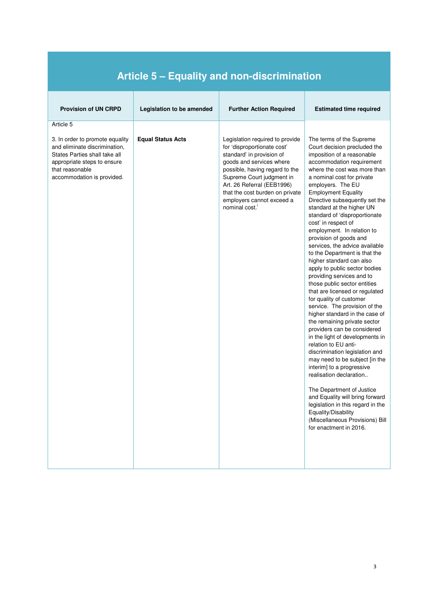| <b>Provision of UN CRPD</b>                                                                                                                                                                    | Legislation to be amended | <b>Further Action Required</b>                                                                                                                                                                                                                                                                                     | <b>Estimated time required</b>                                                                                                                                                                                                                                                                                                                                                                                                                                                                                                                                                                                                                                                                                                                                                                                                                                                                                                                                                                                                                                                                                                                                                                  |  |
|------------------------------------------------------------------------------------------------------------------------------------------------------------------------------------------------|---------------------------|--------------------------------------------------------------------------------------------------------------------------------------------------------------------------------------------------------------------------------------------------------------------------------------------------------------------|-------------------------------------------------------------------------------------------------------------------------------------------------------------------------------------------------------------------------------------------------------------------------------------------------------------------------------------------------------------------------------------------------------------------------------------------------------------------------------------------------------------------------------------------------------------------------------------------------------------------------------------------------------------------------------------------------------------------------------------------------------------------------------------------------------------------------------------------------------------------------------------------------------------------------------------------------------------------------------------------------------------------------------------------------------------------------------------------------------------------------------------------------------------------------------------------------|--|
| Article 5<br>3. In order to promote equality<br>and eliminate discrimination,<br>States Parties shall take all<br>appropriate steps to ensure<br>that reasonable<br>accommodation is provided. | <b>Equal Status Acts</b>  | Legislation required to provide<br>for 'disproportionate cost'<br>standard' in provision of<br>goods and services where<br>possible, having regard to the<br>Supreme Court judgment in<br>Art. 26 Referral (EEB1996)<br>that the cost burden on private<br>employers cannot exceed a<br>nominal cost. <sup>1</sup> | The terms of the Supreme<br>Court decision precluded the<br>imposition of a reasonable<br>accommodation requirement<br>where the cost was more than<br>a nominal cost for private<br>employers. The EU<br><b>Employment Equality</b><br>Directive subsequently set the<br>standard at the higher UN<br>standard of 'disproportionate<br>cost' in respect of<br>employment. In relation to<br>provision of goods and<br>services, the advice available<br>to the Department is that the<br>higher standard can also<br>apply to public sector bodies<br>providing services and to<br>those public sector entities<br>that are licensed or regulated<br>for quality of customer<br>service. The provision of the<br>higher standard in the case of<br>the remaining private sector<br>providers can be considered<br>in the light of developments in<br>relation to EU anti-<br>discrimination legislation and<br>may need to be subject [in the<br>interim] to a progressive<br>realisation declaration<br>The Department of Justice<br>and Equality will bring forward<br>legislation in this regard in the<br>Equality/Disability<br>(Miscellaneous Provisions) Bill<br>for enactment in 2016. |  |

#### **Article 5 – Equality and non-discrimination**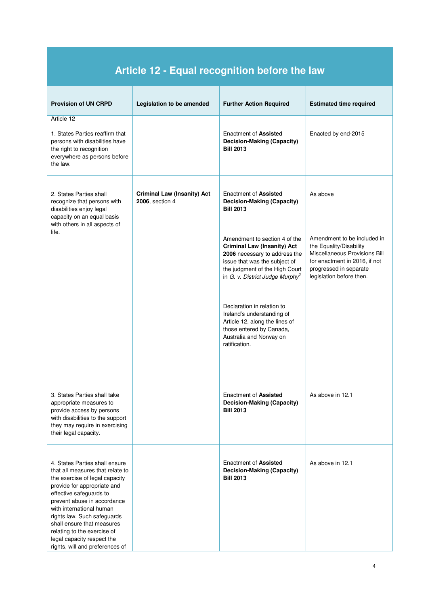| Article 12 - Equal recognition before the law                                                                                                                                                                                                                                                                                                                                          |                                                       |                                                                                                                                                                                                                        |                                                                                                                                                                                |  |
|----------------------------------------------------------------------------------------------------------------------------------------------------------------------------------------------------------------------------------------------------------------------------------------------------------------------------------------------------------------------------------------|-------------------------------------------------------|------------------------------------------------------------------------------------------------------------------------------------------------------------------------------------------------------------------------|--------------------------------------------------------------------------------------------------------------------------------------------------------------------------------|--|
| <b>Provision of UN CRPD</b>                                                                                                                                                                                                                                                                                                                                                            | Legislation to be amended                             | <b>Further Action Required</b>                                                                                                                                                                                         | <b>Estimated time required</b>                                                                                                                                                 |  |
| Article 12<br>1. States Parties reaffirm that<br>persons with disabilities have<br>the right to recognition<br>everywhere as persons before<br>the law.                                                                                                                                                                                                                                |                                                       | Enactment of <b>Assisted</b><br><b>Decision-Making (Capacity)</b><br><b>Bill 2013</b>                                                                                                                                  | Enacted by end-2015                                                                                                                                                            |  |
| 2. States Parties shall<br>recognize that persons with<br>disabilities enjoy legal<br>capacity on an equal basis<br>with others in all aspects of                                                                                                                                                                                                                                      | <b>Criminal Law (Insanity) Act</b><br>2006, section 4 | Enactment of <b>Assisted</b><br><b>Decision-Making (Capacity)</b><br><b>Bill 2013</b>                                                                                                                                  | As above                                                                                                                                                                       |  |
| life.                                                                                                                                                                                                                                                                                                                                                                                  |                                                       | Amendment to section 4 of the<br><b>Criminal Law (Insanity) Act</b><br>2006 necessary to address the<br>issue that was the subject of<br>the judgment of the High Court<br>in G. v. District Judge Murphy <sup>2</sup> | Amendment to be included in<br>the Equality/Disability<br>Miscellaneous Provisions Bill<br>for enactment in 2016, if not<br>progressed in separate<br>legislation before then. |  |
|                                                                                                                                                                                                                                                                                                                                                                                        |                                                       | Declaration in relation to<br>Ireland's understanding of<br>Article 12, along the lines of<br>those entered by Canada,<br>Australia and Norway on<br>ratification.                                                     |                                                                                                                                                                                |  |
| 3. States Parties shall take<br>appropriate measures to<br>provide access by persons<br>with disabilities to the support<br>they may require in exercising<br>their legal capacity.                                                                                                                                                                                                    |                                                       | Enactment of <b>Assisted</b><br>Decision-Making (Capacity)<br><b>Bill 2013</b>                                                                                                                                         | As above in 12.1                                                                                                                                                               |  |
| 4. States Parties shall ensure<br>that all measures that relate to<br>the exercise of legal capacity<br>provide for appropriate and<br>effective safeguards to<br>prevent abuse in accordance<br>with international human<br>rights law. Such safeguards<br>shall ensure that measures<br>relating to the exercise of<br>legal capacity respect the<br>rights, will and preferences of |                                                       | Enactment of <b>Assisted</b><br>Decision-Making (Capacity)<br><b>Bill 2013</b>                                                                                                                                         | As above in 12.1                                                                                                                                                               |  |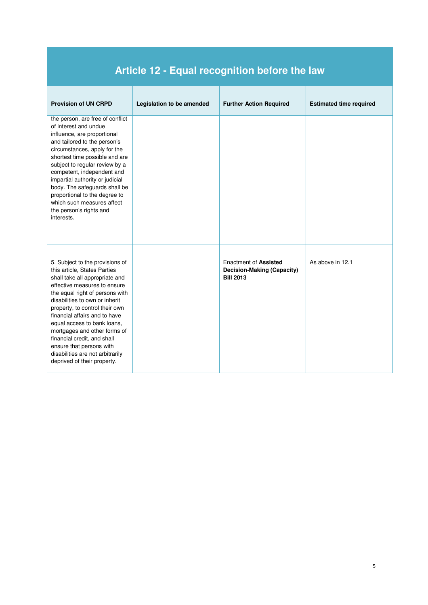## **Article 12 - Equal recognition before the law**

| <b>Provision of UN CRPD</b>                                                                                                                                                                                                                                                                                                                                                                                                                                            | Legislation to be amended | <b>Further Action Required</b>                                                 | <b>Estimated time required</b> |
|------------------------------------------------------------------------------------------------------------------------------------------------------------------------------------------------------------------------------------------------------------------------------------------------------------------------------------------------------------------------------------------------------------------------------------------------------------------------|---------------------------|--------------------------------------------------------------------------------|--------------------------------|
| the person, are free of conflict<br>of interest and undue<br>influence, are proportional<br>and tailored to the person's<br>circumstances, apply for the<br>shortest time possible and are<br>subject to regular review by a<br>competent, independent and<br>impartial authority or judicial<br>body. The safeguards shall be<br>proportional to the degree to<br>which such measures affect<br>the person's rights and<br>interests.                                 |                           |                                                                                |                                |
| 5. Subject to the provisions of<br>this article, States Parties<br>shall take all appropriate and<br>effective measures to ensure<br>the equal right of persons with<br>disabilities to own or inherit<br>property, to control their own<br>financial affairs and to have<br>equal access to bank loans,<br>mortgages and other forms of<br>financial credit, and shall<br>ensure that persons with<br>disabilities are not arbitrarily<br>deprived of their property. |                           | <b>Enactment of Assisted</b><br>Decision-Making (Capacity)<br><b>Bill 2013</b> | As above in 12.1               |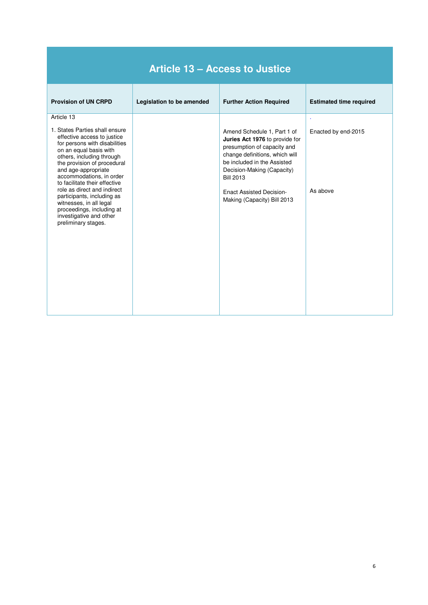| <b>Article 13 - Access to Justice</b>                                                                                                                                                                                                                                                                                                                                                                                                                         |                           |                                                                                                                                                                                                                                                                                   |                                      |  |
|---------------------------------------------------------------------------------------------------------------------------------------------------------------------------------------------------------------------------------------------------------------------------------------------------------------------------------------------------------------------------------------------------------------------------------------------------------------|---------------------------|-----------------------------------------------------------------------------------------------------------------------------------------------------------------------------------------------------------------------------------------------------------------------------------|--------------------------------------|--|
| <b>Provision of UN CRPD</b>                                                                                                                                                                                                                                                                                                                                                                                                                                   | Legislation to be amended | <b>Further Action Required</b>                                                                                                                                                                                                                                                    | <b>Estimated time required</b>       |  |
| Article 13<br>1. States Parties shall ensure<br>effective access to justice<br>for persons with disabilities<br>on an equal basis with<br>others, including through<br>the provision of procedural<br>and age-appropriate<br>accommodations, in order<br>to facilitate their effective<br>role as direct and indirect<br>participants, including as<br>witnesses, in all legal<br>proceedings, including at<br>investigative and other<br>preliminary stages. |                           | Amend Schedule 1, Part 1 of<br>Juries Act 1976 to provide for<br>presumption of capacity and<br>change definitions, which will<br>be included in the Assisted<br>Decision-Making (Capacity)<br><b>Bill 2013</b><br><b>Enact Assisted Decision-</b><br>Making (Capacity) Bill 2013 | ×<br>Enacted by end-2015<br>As above |  |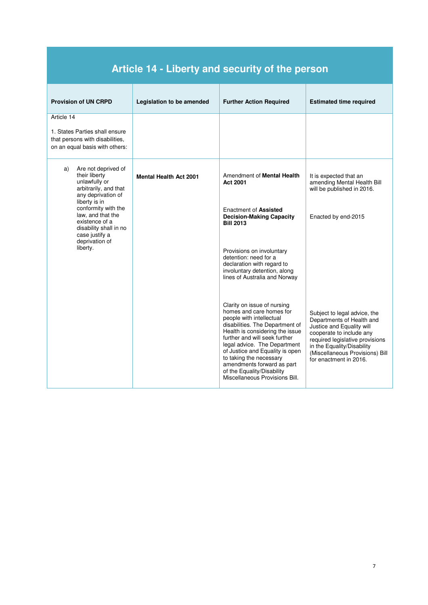| Article 14 - Liberty and security of the person                                                                             |                               |                                                                                                                                                                                                                                                                                                                                                                                        |                                                                                                                                                                                                                                                  |  |
|-----------------------------------------------------------------------------------------------------------------------------|-------------------------------|----------------------------------------------------------------------------------------------------------------------------------------------------------------------------------------------------------------------------------------------------------------------------------------------------------------------------------------------------------------------------------------|--------------------------------------------------------------------------------------------------------------------------------------------------------------------------------------------------------------------------------------------------|--|
| <b>Provision of UN CRPD</b>                                                                                                 | Legislation to be amended     | <b>Further Action Required</b>                                                                                                                                                                                                                                                                                                                                                         | <b>Estimated time required</b>                                                                                                                                                                                                                   |  |
| Article 14<br>1. States Parties shall ensure<br>that persons with disabilities.<br>on an equal basis with others:           |                               |                                                                                                                                                                                                                                                                                                                                                                                        |                                                                                                                                                                                                                                                  |  |
| Are not deprived of<br>a)<br>their liberty<br>unlawfully or<br>arbitrarily, and that<br>any deprivation of<br>liberty is in | <b>Mental Health Act 2001</b> | Amendment of <b>Mental Health</b><br>Act 2001                                                                                                                                                                                                                                                                                                                                          | It is expected that an<br>amending Mental Health Bill<br>will be published in 2016.                                                                                                                                                              |  |
| conformity with the<br>law, and that the<br>existence of a<br>disability shall in no<br>case justify a<br>deprivation of    |                               | Enactment of <b>Assisted</b><br><b>Decision-Making Capacity</b><br><b>Bill 2013</b>                                                                                                                                                                                                                                                                                                    | Enacted by end-2015                                                                                                                                                                                                                              |  |
| liberty.                                                                                                                    |                               | Provisions on involuntary<br>detention: need for a<br>declaration with regard to<br>involuntary detention, along<br>lines of Australia and Norway                                                                                                                                                                                                                                      |                                                                                                                                                                                                                                                  |  |
|                                                                                                                             |                               | Clarity on issue of nursing<br>homes and care homes for<br>people with intellectual<br>disabilities. The Department of<br>Health is considering the issue<br>further and will seek further<br>legal advice. The Department<br>of Justice and Equality is open<br>to taking the necessary<br>amendments forward as part<br>of the Equality/Disability<br>Miscellaneous Provisions Bill. | Subject to legal advice, the<br>Departments of Health and<br>Justice and Equality will<br>cooperate to include any<br>required legislative provisions<br>in the Equality/Disability<br>(Miscellaneous Provisions) Bill<br>for enactment in 2016. |  |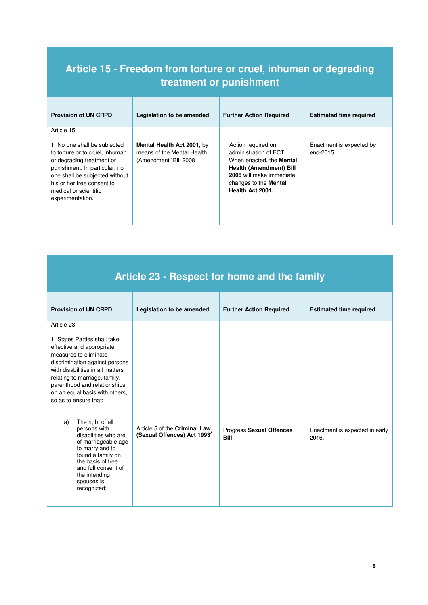#### **Article 15 - Freedom from torture or cruel, inhuman or degrading treatment or punishment**

| <b>Provision of UN CRPD</b>                                                                                                                                                                                                                              | Legislation to be amended                                                         | <b>Further Action Required</b>                                                                                                                                                                    | <b>Estimated time required</b>        |
|----------------------------------------------------------------------------------------------------------------------------------------------------------------------------------------------------------------------------------------------------------|-----------------------------------------------------------------------------------|---------------------------------------------------------------------------------------------------------------------------------------------------------------------------------------------------|---------------------------------------|
| Article 15<br>1. No one shall be subjected<br>to torture or to cruel, inhuman<br>or degrading treatment or<br>punishment. In particular, no<br>one shall be subjected without<br>his or her free consent to<br>medical or scientific<br>experimentation. | Mental Health Act 2001, by<br>means of the Mental Health<br>(Amendment) Bill 2008 | Action required on<br>administration of ECT.<br>When enacted, the <b>Mental</b><br><b>Health (Amendment) Bill</b><br>2008 will make immediate<br>changes to the <b>Mental</b><br>Health Act 2001. | Enactment is expected by<br>end-2015. |

| <b>Article 23 - Respect for home and the family</b> |  |  |
|-----------------------------------------------------|--|--|
|                                                     |  |  |

| <b>Provision of UN CRPD</b>                                                                                                                                                                                                                                                                         | Legislation to be amended                                                | <b>Further Action Required</b>          | <b>Estimated time required</b>          |
|-----------------------------------------------------------------------------------------------------------------------------------------------------------------------------------------------------------------------------------------------------------------------------------------------------|--------------------------------------------------------------------------|-----------------------------------------|-----------------------------------------|
| Article 23<br>1. States Parties shall take<br>effective and appropriate<br>measures to eliminate<br>discrimination against persons<br>with disabilities in all matters<br>relating to marriage, family,<br>parenthood and relationships,<br>on an equal basis with others,<br>so as to ensure that: |                                                                          |                                         |                                         |
| The right of all<br>a)<br>persons with<br>disabilities who are<br>of marriageable age<br>to marry and to<br>found a family on<br>the basis of free<br>and full consent of<br>the intending<br>spouses is<br>recognized;                                                                             | Article 5 of the Criminal Law<br>(Sexual Offences) Act 1993 <sup>3</sup> | Progress Sexual Offences<br><b>Bill</b> | Enactment is expected in early<br>2016. |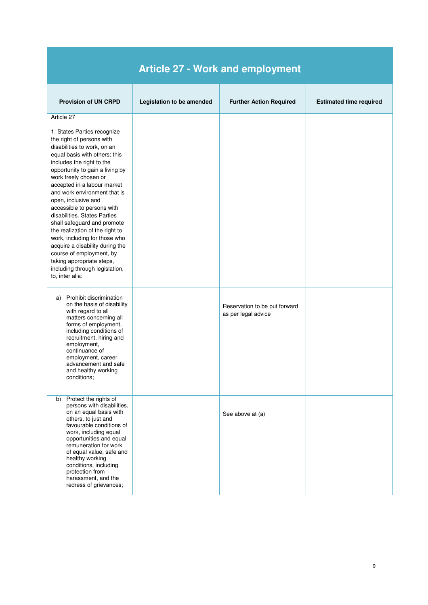| <b>Article 27 - Work and employment</b>                                                                                                                                                                                                                                                                                                                                                                                                                                                                                                                                                                                                 |                           |                                                      |                                |  |
|-----------------------------------------------------------------------------------------------------------------------------------------------------------------------------------------------------------------------------------------------------------------------------------------------------------------------------------------------------------------------------------------------------------------------------------------------------------------------------------------------------------------------------------------------------------------------------------------------------------------------------------------|---------------------------|------------------------------------------------------|--------------------------------|--|
| <b>Provision of UN CRPD</b>                                                                                                                                                                                                                                                                                                                                                                                                                                                                                                                                                                                                             | Legislation to be amended | <b>Further Action Required</b>                       | <b>Estimated time required</b> |  |
| Article 27<br>1. States Parties recognize<br>the right of persons with<br>disabilities to work, on an<br>equal basis with others; this<br>includes the right to the<br>opportunity to gain a living by<br>work freely chosen or<br>accepted in a labour market<br>and work environment that is<br>open, inclusive and<br>accessible to persons with<br>disabilities. States Parties<br>shall safeguard and promote<br>the realization of the right to<br>work, including for those who<br>acquire a disability during the<br>course of employment, by<br>taking appropriate steps,<br>including through legislation,<br>to, inter alia: |                           |                                                      |                                |  |
| Prohibit discrimination<br>a)<br>on the basis of disability<br>with regard to all<br>matters concerning all<br>forms of employment,<br>including conditions of<br>recruitment, hiring and<br>employment,<br>continuance of<br>employment, career<br>advancement and safe<br>and healthy working<br>conditions;                                                                                                                                                                                                                                                                                                                          |                           | Reservation to be put forward<br>as per legal advice |                                |  |
| Protect the rights of<br>b)<br>persons with disabilities,<br>on an equal basis with<br>others, to just and<br>favourable conditions of<br>work, including equal<br>opportunities and equal<br>remuneration for work<br>of equal value, safe and<br>healthy working<br>conditions, including<br>protection from<br>harassment, and the<br>redress of grievances;                                                                                                                                                                                                                                                                         |                           | See above at (a)                                     |                                |  |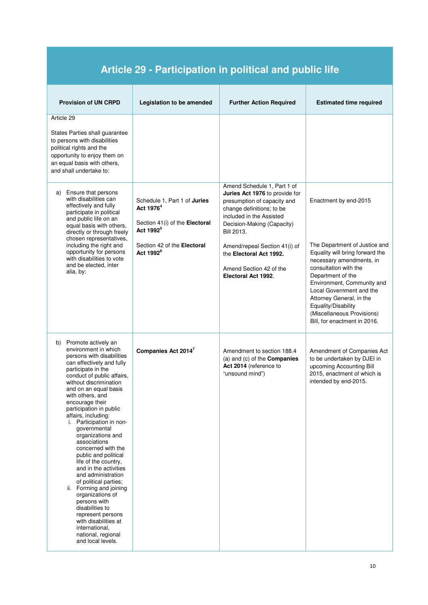| <b>Article 29 - Participation in political and public life</b>                                                                                                                                                                                                                                                                                                                                                                                                                                                                                                                                                                                                                                                                         |                                                                                                                                                                                 |                                                                                                                                                                                                                                                                                                                        |                                                                                                                                                                                                                                                                                                                                                |  |
|----------------------------------------------------------------------------------------------------------------------------------------------------------------------------------------------------------------------------------------------------------------------------------------------------------------------------------------------------------------------------------------------------------------------------------------------------------------------------------------------------------------------------------------------------------------------------------------------------------------------------------------------------------------------------------------------------------------------------------------|---------------------------------------------------------------------------------------------------------------------------------------------------------------------------------|------------------------------------------------------------------------------------------------------------------------------------------------------------------------------------------------------------------------------------------------------------------------------------------------------------------------|------------------------------------------------------------------------------------------------------------------------------------------------------------------------------------------------------------------------------------------------------------------------------------------------------------------------------------------------|--|
| <b>Provision of UN CRPD</b>                                                                                                                                                                                                                                                                                                                                                                                                                                                                                                                                                                                                                                                                                                            | Legislation to be amended                                                                                                                                                       | <b>Further Action Required</b>                                                                                                                                                                                                                                                                                         | <b>Estimated time required</b>                                                                                                                                                                                                                                                                                                                 |  |
| Article 29<br>States Parties shall guarantee<br>to persons with disabilities<br>political rights and the<br>opportunity to enjoy them on<br>an equal basis with others,<br>and shall undertake to:                                                                                                                                                                                                                                                                                                                                                                                                                                                                                                                                     |                                                                                                                                                                                 |                                                                                                                                                                                                                                                                                                                        |                                                                                                                                                                                                                                                                                                                                                |  |
| Ensure that persons<br>a)<br>with disabilities can<br>effectively and fully<br>participate in political<br>and public life on an<br>equal basis with others,<br>directly or through freely<br>chosen representatives,<br>including the right and<br>opportunity for persons<br>with disabilities to vote<br>and be elected, inter<br>alia, by:                                                                                                                                                                                                                                                                                                                                                                                         | Schedule 1, Part 1 of Juries<br>Act 1976 <sup>4</sup><br>Section 41(i) of the Electoral<br>Act 1992 <sup>5</sup><br>Section 42 of the <b>Electoral</b><br>Act 1992 <sup>6</sup> | Amend Schedule 1, Part 1 of<br>Juries Act 1976 to provide for<br>presumption of capacity and<br>change definitions; to be<br>included in the Assisted<br>Decision-Making (Capacity)<br><b>Bill 2013.</b><br>Amend/repeal Section 41(i) of<br>the Electoral Act 1992.<br>Amend Section 42 of the<br>Electoral Act 1992. | Enactment by end-2015<br>The Department of Justice and<br>Equality will bring forward the<br>necessary amendments, in<br>consultation with the<br>Department of the<br>Environment, Community and<br>Local Government and the<br>Attorney General, in the<br>Equality/Disability<br>(Miscellaneous Provisions)<br>Bill, for enactment in 2016. |  |
| Promote actively an<br>b)<br>environment in which<br>persons with disabilities<br>can effectively and fully<br>participate in the<br>conduct of public affairs,<br>without discrimination<br>and on an equal basis<br>with others, and<br>encourage their<br>participation in public<br>affairs, including:<br>i. Participation in non-<br>governmental<br>organizations and<br>associations<br>concerned with the<br>public and political<br>life of the country,<br>and in the activities<br>and administration<br>of political parties;<br>ii. Forming and joining<br>organizations of<br>persons with<br>disabilities to<br>represent persons<br>with disabilities at<br>international,<br>national, regional<br>and local levels. | Companies Act 2014 <sup>7</sup>                                                                                                                                                 | Amendment to section 188.4<br>(a) and (c) of the <b>Companies</b><br>Act 2014 (reference to<br>"unsound mind")                                                                                                                                                                                                         | Amendment of Companies Act<br>to be undertaken by DJEI in<br>upcoming Accounting Bill<br>2015, enactment of which is<br>intended by end-2015.                                                                                                                                                                                                  |  |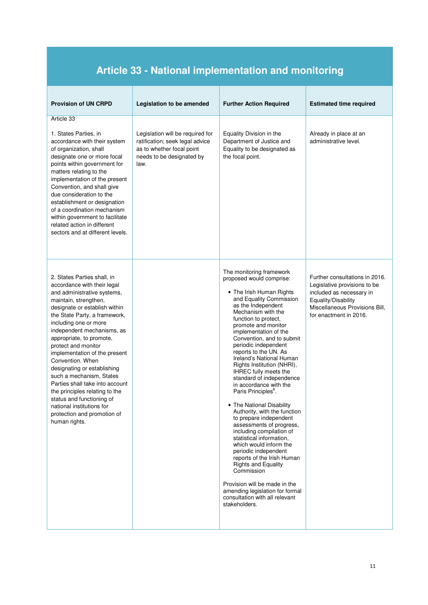## **Article 33 - National implementation and monitoring**

| <b>Provision of UN CRPD</b>                                                                                                                                                                                                                                                                                                                                                                                                                                                                                                                                                                   | Legislation to be amended                                                                                                             | <b>Further Action Required</b>                                                                                                                                                                                                                                                                                                                                                                                                                                                                                                                                                                                                                                                                                                                                                                                                                                                                                          | <b>Estimated time required</b>                                                                                                                                                |
|-----------------------------------------------------------------------------------------------------------------------------------------------------------------------------------------------------------------------------------------------------------------------------------------------------------------------------------------------------------------------------------------------------------------------------------------------------------------------------------------------------------------------------------------------------------------------------------------------|---------------------------------------------------------------------------------------------------------------------------------------|-------------------------------------------------------------------------------------------------------------------------------------------------------------------------------------------------------------------------------------------------------------------------------------------------------------------------------------------------------------------------------------------------------------------------------------------------------------------------------------------------------------------------------------------------------------------------------------------------------------------------------------------------------------------------------------------------------------------------------------------------------------------------------------------------------------------------------------------------------------------------------------------------------------------------|-------------------------------------------------------------------------------------------------------------------------------------------------------------------------------|
| Article 33<br>1. States Parties, in<br>accordance with their system<br>of organization, shall<br>designate one or more focal<br>points within government for<br>matters relating to the<br>implementation of the present<br>Convention, and shall give<br>due consideration to the<br>establishment or designation<br>of a coordination mechanism<br>within government to facilitate<br>related action in different<br>sectors and at different levels.                                                                                                                                       | Legislation will be required for<br>ratification; seek legal advice<br>as to whether focal point<br>needs to be designated by<br>law. | Equality Division in the<br>Department of Justice and<br>Equality to be designated as<br>the focal point.                                                                                                                                                                                                                                                                                                                                                                                                                                                                                                                                                                                                                                                                                                                                                                                                               | Already in place at an<br>administrative level.                                                                                                                               |
| 2. States Parties shall, in<br>accordance with their legal<br>and administrative systems,<br>maintain, strengthen,<br>designate or establish within<br>the State Party, a framework,<br>including one or more<br>independent mechanisms, as<br>appropriate, to promote,<br>protect and monitor<br>implementation of the present<br>Convention. When<br>designating or establishing<br>such a mechanism, States<br>Parties shall take into account<br>the principles relating to the<br>status and functioning of<br>national institutions for<br>protection and promotion of<br>human rights. |                                                                                                                                       | The monitoring framework<br>proposed would comprise:<br>• The Irish Human Rights<br>and Equality Commission<br>as the Independent<br>Mechanism with the<br>function to protect,<br>promote and monitor<br>implementation of the<br>Convention, and to submit<br>periodic independent<br>reports to the UN. As<br>Ireland's National Human<br>Rights Institution (NHRI),<br>IHREC fully meets the<br>standard of independence<br>in accordance with the<br>Paris Principles <sup>8</sup> .<br>• The National Disability<br>Authority, with the function<br>to prepare independent<br>assessments of progress,<br>including compilation of<br>statistical information,<br>which would inform the<br>periodic independent<br>reports of the Irish Human<br><b>Rights and Equality</b><br>Commission<br>Provision will be made in the<br>amending legislation for formal<br>consultation with all relevant<br>stakeholders. | Further consultations in 2016.<br>Legislative provisions to be<br>included as necessary in<br>Equality/Disability<br>Miscellaneous Provisions Bill,<br>for enactment in 2016. |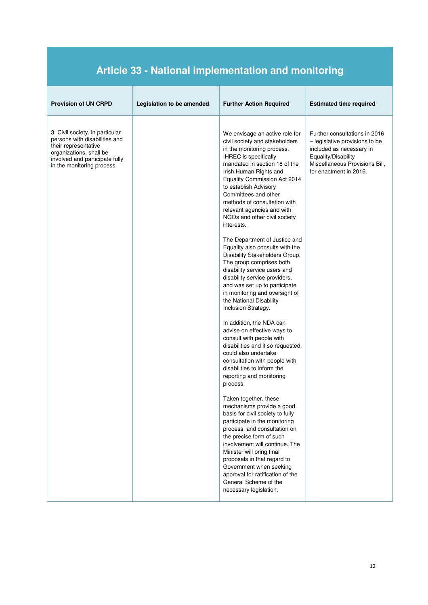## **Article 33 - National implementation and monitoring**

| <b>Provision of UN CRPD</b>                                                                                                                                                         | Legislation to be amended | <b>Further Action Required</b>                                                                                                                                                                                                                                                                                                                                                                                                                                                                                                                                                                                                                                                                                                                                                                                                                                                                                                                                                                                                                                                                                                                                                                                                                                 | <b>Estimated time required</b>                                                                                                                                                 |
|-------------------------------------------------------------------------------------------------------------------------------------------------------------------------------------|---------------------------|----------------------------------------------------------------------------------------------------------------------------------------------------------------------------------------------------------------------------------------------------------------------------------------------------------------------------------------------------------------------------------------------------------------------------------------------------------------------------------------------------------------------------------------------------------------------------------------------------------------------------------------------------------------------------------------------------------------------------------------------------------------------------------------------------------------------------------------------------------------------------------------------------------------------------------------------------------------------------------------------------------------------------------------------------------------------------------------------------------------------------------------------------------------------------------------------------------------------------------------------------------------|--------------------------------------------------------------------------------------------------------------------------------------------------------------------------------|
| 3. Civil society, in particular<br>persons with disabilities and<br>their representative<br>organizations, shall be<br>involved and participate fully<br>in the monitoring process. |                           | We envisage an active role for<br>civil society and stakeholders<br>in the monitoring process.<br><b>IHREC</b> is specifically<br>mandated in section 18 of the<br>Irish Human Rights and<br>Equality Commission Act 2014<br>to establish Advisory<br>Committees and other<br>methods of consultation with<br>relevant agencies and with<br>NGOs and other civil society<br>interests.<br>The Department of Justice and<br>Equality also consults with the<br>Disability Stakeholders Group.<br>The group comprises both<br>disability service users and<br>disability service providers,<br>and was set up to participate<br>in monitoring and oversight of<br>the National Disability<br>Inclusion Strategy.<br>In addition, the NDA can<br>advise on effective ways to<br>consult with people with<br>disabilities and if so requested,<br>could also undertake<br>consultation with people with<br>disabilities to inform the<br>reporting and monitoring<br>process.<br>Taken together, these<br>mechanisms provide a good<br>basis for civil society to fully<br>participate in the monitoring<br>process, and consultation on<br>the precise form of such<br>involvement will continue. The<br>Minister will bring final<br>proposals in that regard to | Further consultations in 2016<br>- legislative provisions to be<br>included as necessary in<br>Equality/Disability<br>Miscellaneous Provisions Bill,<br>for enactment in 2016. |
|                                                                                                                                                                                     |                           | Government when seeking<br>approval for ratification of the<br>General Scheme of the<br>necessary legislation.                                                                                                                                                                                                                                                                                                                                                                                                                                                                                                                                                                                                                                                                                                                                                                                                                                                                                                                                                                                                                                                                                                                                                 |                                                                                                                                                                                |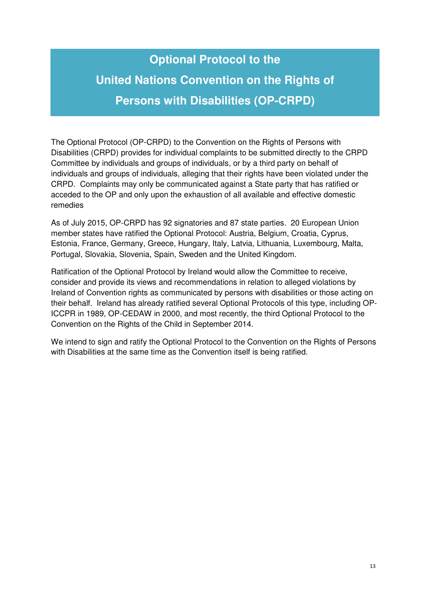# **Optional Protocol to the United Nations Convention on the Rights of Persons with Disabilities (OP-CRPD)**

The Optional Protocol (OP-CRPD) to the Convention on the Rights of Persons with Disabilities (CRPD) provides for individual complaints to be submitted directly to the CRPD Committee by individuals and groups of individuals, or by a third party on behalf of individuals and groups of individuals, alleging that their rights have been violated under the CRPD. Complaints may only be communicated against a State party that has ratified or acceded to the OP and only upon the exhaustion of all available and effective domestic remedies

As of July 2015, OP-CRPD has 92 signatories and 87 state parties. 20 European Union member states have ratified the Optional Protocol: Austria, Belgium, Croatia, Cyprus, Estonia, France, Germany, Greece, Hungary, Italy, Latvia, Lithuania, Luxembourg, Malta, Portugal, Slovakia, Slovenia, Spain, Sweden and the United Kingdom.

Ratification of the Optional Protocol by Ireland would allow the Committee to receive, consider and provide its views and recommendations in relation to alleged violations by Ireland of Convention rights as communicated by persons with disabilities or those acting on their behalf. Ireland has already ratified several Optional Protocols of this type, including OP-ICCPR in 1989, OP-CEDAW in 2000, and most recently, the third Optional Protocol to the Convention on the Rights of the Child in September 2014.

We intend to sign and ratify the Optional Protocol to the Convention on the Rights of Persons with Disabilities at the same time as the Convention itself is being ratified.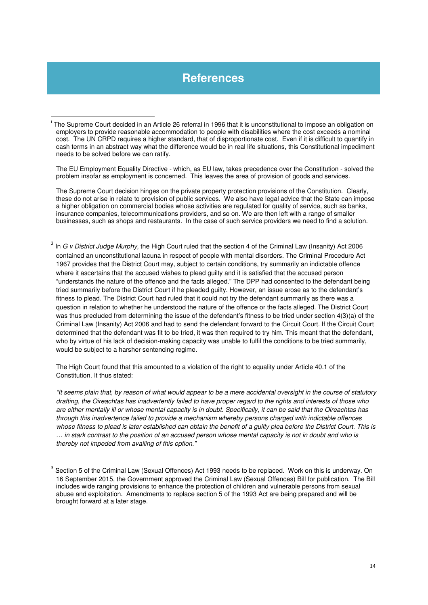#### **References**

l

The EU Employment Equality Directive - which, as EU law, takes precedence over the Constitution - solved the problem insofar as employment is concerned. This leaves the area of provision of goods and services.

The Supreme Court decision hinges on the private property protection provisions of the Constitution. Clearly, these do not arise in relate to provision of public services. We also have legal advice that the State can impose a higher obligation on commercial bodies whose activities are regulated for quality of service, such as banks, insurance companies, telecommunications providers, and so on. We are then left with a range of smaller businesses, such as shops and restaurants. In the case of such service providers we need to find a solution.

<sup>2</sup> In G v District Judge Murphy, the High Court ruled that the section 4 of the Criminal Law (Insanity) Act 2006 contained an unconstitutional lacuna in respect of people with mental disorders. The Criminal Procedure Act 1967 provides that the District Court may, subject to certain conditions, try summarily an indictable offence where it ascertains that the accused wishes to plead guilty and it is satisfied that the accused person "understands the nature of the offence and the facts alleged." The DPP had consented to the defendant being tried summarily before the District Court if he pleaded guilty. However, an issue arose as to the defendant's fitness to plead. The District Court had ruled that it could not try the defendant summarily as there was a question in relation to whether he understood the nature of the offence or the facts alleged. The District Court was thus precluded from determining the issue of the defendant's fitness to be tried under section 4(3)(a) of the Criminal Law (Insanity) Act 2006 and had to send the defendant forward to the Circuit Court. If the Circuit Court determined that the defendant was fit to be tried, it was then required to try him. This meant that the defendant, who by virtue of his lack of decision-making capacity was unable to fulfil the conditions to be tried summarily, would be subject to a harsher sentencing regime.

The High Court found that this amounted to a violation of the right to equality under Article 40.1 of the Constitution. It thus stated:

"It seems plain that, by reason of what would appear to be a mere accidental oversight in the course of statutory drafting, the Oireachtas has inadvertently failed to have proper regard to the rights and interests of those who are either mentally ill or whose mental capacity is in doubt. Specifically, it can be said that the Oireachtas has through this inadvertence failed to provide a mechanism whereby persons charged with indictable offences whose fitness to plead is later established can obtain the benefit of a guilty plea before the District Court. This is … in stark contrast to the position of an accused person whose mental capacity is not in doubt and who is thereby not impeded from availing of this option."

<sup>&</sup>lt;sup>i</sup> The Supreme Court decided in an Article 26 referral in 1996 that it is unconstitutional to impose an obligation on employers to provide reasonable accommodation to people with disabilities where the cost exceeds a nominal cost. The UN CRPD requires a higher standard, that of disproportionate cost. Even if it is difficult to quantify in cash terms in an abstract way what the difference would be in real life situations, this Constitutional impediment needs to be solved before we can ratify.

 $^3$  Section 5 of the Criminal Law (Sexual Offences) Act 1993 needs to be replaced. Work on this is underway. On 16 September 2015, the Government approved the Criminal Law (Sexual Offences) Bill for publication. The Bill includes wide ranging provisions to enhance the protection of children and vulnerable persons from sexual abuse and exploitation. Amendments to replace section 5 of the 1993 Act are being prepared and will be brought forward at a later stage.